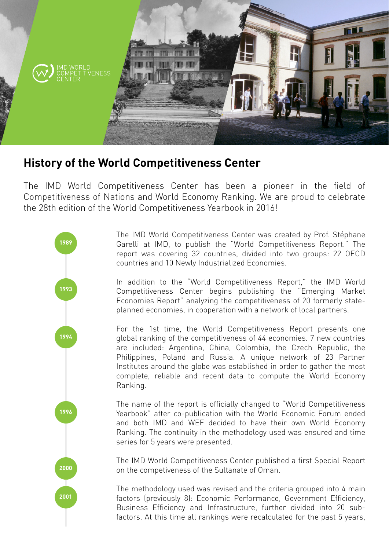

## **History of the World Competitiveness Center**

The IMD World Competitiveness Center has been a pioneer in the field of Competitiveness of Nations and World Economy Ranking. We are proud to celebrate the 28th edition of the World Competitiveness Yearbook in 2016!



The IMD World Competitiveness Center was created by Prof. Stéphane Garelli at IMD, to publish the "World Competitiveness Report." The report was covering 32 countries, divided into two groups: 22 OECD countries and 10 Newly Industrialized Economies.

In addition to the "World Competitiveness Report," the IMD World Competitiveness Center begins publishing the "Emerging Market Economies Report" analyzing the competitiveness of 20 formerly stateplanned economies, in cooperation with a network of local partners.

For the 1st time, the World Competitiveness Report presents one global ranking of the competitiveness of 44 economies. 7 new countries are included: Argentina, China, Colombia, the Czech Republic, the Philippines, Poland and Russia. A unique network of 23 Partner Institutes around the globe was established in order to gather the most complete, reliable and recent data to compute the World Economy Ranking.

The name of the report is officially changed to "World Competitiveness Yearbook" after co-publication with the World Economic Forum ended and both IMD and WEF decided to have their own World Economy Ranking. The continuity in the methodology used was ensured and time series for 5 years were presented.

The IMD World Competitiveness Center published a first Special Report on the competiveness of the Sultanate of Oman.

The methodology used was revised and the criteria grouped into 4 main factors (previously 8): Economic Performance, Government Efficiency, Business Efficiency and Infrastructure, further divided into 20 subfactors. At this time all rankings were recalculated for the past 5 years,